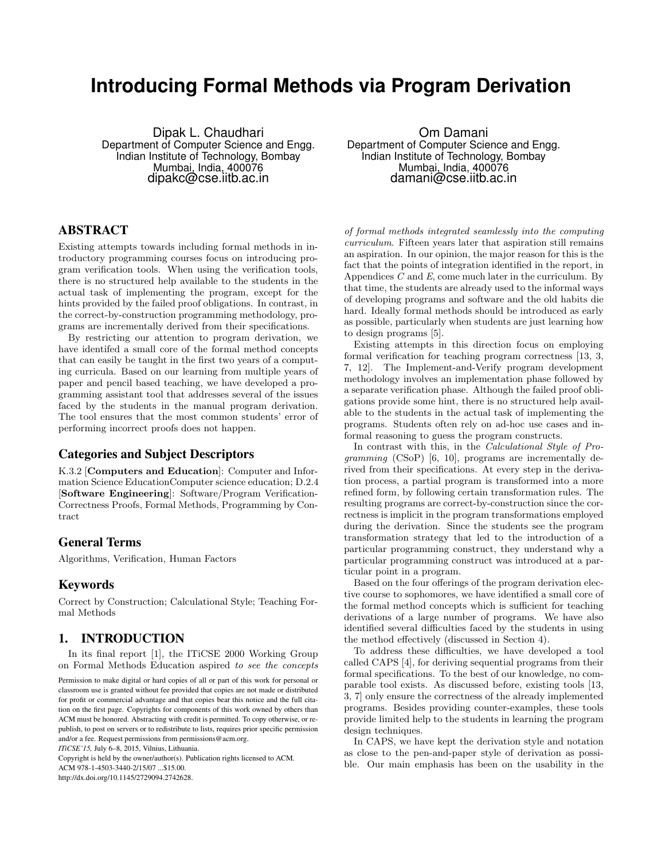# **Introducing Formal Methods via Program Derivation**

Dipak L. Chaudhari Department of Computer Science and Engg. Indian Institute of Technology, Bombay Mumbai, India, 400076 dipakc@cse.iitb.ac.in

# ABSTRACT

Existing attempts towards including formal methods in introductory programming courses focus on introducing program verification tools. When using the verification tools, there is no structured help available to the students in the actual task of implementing the program, except for the hints provided by the failed proof obligations. In contrast, in the correct-by-construction programming methodology, programs are incrementally derived from their specifications.

By restricting our attention to program derivation, we have identifed a small core of the formal method concepts that can easily be taught in the first two years of a computing curricula. Based on our learning from multiple years of paper and pencil based teaching, we have developed a programming assistant tool that addresses several of the issues faced by the students in the manual program derivation. The tool ensures that the most common students' error of performing incorrect proofs does not happen.

## Categories and Subject Descriptors

K.3.2 [Computers and Education]: Computer and Information Science EducationComputer science education; D.2.4 [Software Engineering]: Software/Program Verification-Correctness Proofs, Formal Methods, Programming by Contract

## General Terms

Algorithms, Verification, Human Factors

## Keywords

Correct by Construction; Calculational Style; Teaching Formal Methods

# 1. INTRODUCTION

In its final report [1], the ITiCSE 2000 Working Group on Formal Methods Education aspired to see the concepts

Copyright is held by the owner/author(s). Publication rights licensed to ACM.

ACM 978-1-4503-3440-2/15/07 ...\$15.00.

http://dx.doi.org/10.1145/2729094.2742628.

Om Damani Department of Computer Science and Engg. Indian Institute of Technology, Bombay Mumbai, India, 400076 damani@cse.iitb.ac.in

of formal methods integrated seamlessly into the computing curriculum. Fifteen years later that aspiration still remains an aspiration. In our opinion, the major reason for this is the fact that the points of integration identified in the report, in Appendices  $C$  and  $E$ , come much later in the curriculum. By that time, the students are already used to the informal ways of developing programs and software and the old habits die hard. Ideally formal methods should be introduced as early as possible, particularly when students are just learning how to design programs [5].

Existing attempts in this direction focus on employing formal verification for teaching program correctness [13, 3, 7, 12]. The Implement-and-Verify program development methodology involves an implementation phase followed by a separate verification phase. Although the failed proof obligations provide some hint, there is no structured help available to the students in the actual task of implementing the programs. Students often rely on ad-hoc use cases and informal reasoning to guess the program constructs.

In contrast with this, in the Calculational Style of Programming (CSoP) [6, 10], programs are incrementally derived from their specifications. At every step in the derivation process, a partial program is transformed into a more refined form, by following certain transformation rules. The resulting programs are correct-by-construction since the correctness is implicit in the program transformations employed during the derivation. Since the students see the program transformation strategy that led to the introduction of a particular programming construct, they understand why a particular programming construct was introduced at a particular point in a program.

Based on the four offerings of the program derivation elective course to sophomores, we have identified a small core of the formal method concepts which is sufficient for teaching derivations of a large number of programs. We have also identified several difficulties faced by the students in using the method effectively (discussed in Section 4).

To address these difficulties, we have developed a tool called CAPS [4], for deriving sequential programs from their formal specifications. To the best of our knowledge, no comparable tool exists. As discussed before, existing tools [13, 3, 7] only ensure the correctness of the already implemented programs. Besides providing counter-examples, these tools provide limited help to the students in learning the program design techniques.

In CAPS, we have kept the derivation style and notation as close to the pen-and-paper style of derivation as possible. Our main emphasis has been on the usability in the

Permission to make digital or hard copies of all or part of this work for personal or classroom use is granted without fee provided that copies are not made or distributed for profit or commercial advantage and that copies bear this notice and the full citation on the first page. Copyrights for components of this work owned by others than ACM must be honored. Abstracting with credit is permitted. To copy otherwise, or republish, to post on servers or to redistribute to lists, requires prior specific permission and/or a fee. Request permissions from permissions@acm.org.

*ITiCSE'15,* July 6–8, 2015, Vilnius, Lithuania.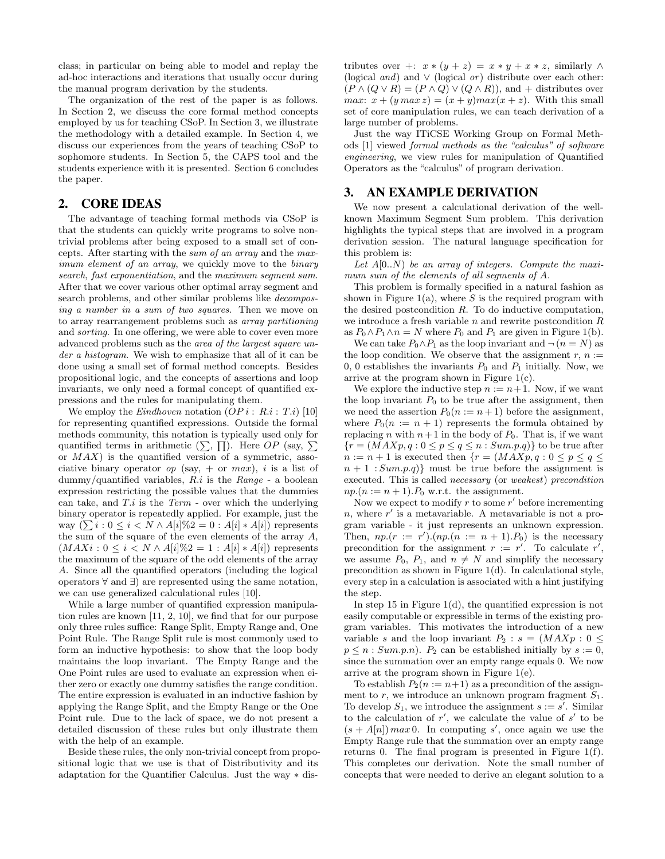class; in particular on being able to model and replay the ad-hoc interactions and iterations that usually occur during the manual program derivation by the students.

The organization of the rest of the paper is as follows. In Section 2, we discuss the core formal method concepts employed by us for teaching CSoP. In Section 3, we illustrate the methodology with a detailed example. In Section 4, we discuss our experiences from the years of teaching CSoP to sophomore students. In Section 5, the CAPS tool and the students experience with it is presented. Section 6 concludes the paper.

#### 2. CORE IDEAS

The advantage of teaching formal methods via CSoP is that the students can quickly write programs to solve nontrivial problems after being exposed to a small set of concepts. After starting with the sum of an array and the maximum element of an array, we quickly move to the binary search, fast exponentiation, and the maximum segment sum. After that we cover various other optimal array segment and search problems, and other similar problems like decomposing a number in a sum of two squares. Then we move on to array rearrangement problems such as array partitioning and sorting. In one offering, we were able to cover even more advanced problems such as the area of the largest square under a histogram. We wish to emphasize that all of it can be done using a small set of formal method concepts. Besides propositional logic, and the concepts of assertions and loop invariants, we only need a formal concept of quantified expressions and the rules for manipulating them.

We employ the *Eindhoven* notation  $OPi: R.i: T.i$  [10] for representing quantified expressions. Outside the formal methods community, this notation is typically used only for quantified terms in arithmetic  $(\sum, \prod)$ . Here OP (say,  $\Sigma$ ) or  $MAX$ ) is the quantified version of a symmetric, associative binary operator *op* (say, + or *max*), *i* is a list of  $\text{dummy/quantified variables}, R.i \text{ is the } Range - \text{a boolean}$ expression restricting the possible values that the dummies can take, and  $T.i$  is the Term - over which the underlying binary operator is repeatedly applied. For example, just the way  $(\sum i : 0 \le i \le N \wedge A[i]\%2 = 0 : A[i] * A[i])$  represents the sum of the square of the even elements of the array  $A$ ,  $(MAXi: 0 \leq i < N \wedge A[i]\%2 = 1 : A[i] * A[i])$  represents the maximum of the square of the odd elements of the array A. Since all the quantified operators (including the logical operators ∀ and ∃) are represented using the same notation, we can use generalized calculational rules [10].

While a large number of quantified expression manipulation rules are known [11, 2, 10], we find that for our purpose only three rules suffice: Range Split, Empty Range and, One Point Rule. The Range Split rule is most commonly used to form an inductive hypothesis: to show that the loop body maintains the loop invariant. The Empty Range and the One Point rules are used to evaluate an expression when either zero or exactly one dummy satisfies the range condition. The entire expression is evaluated in an inductive fashion by applying the Range Split, and the Empty Range or the One Point rule. Due to the lack of space, we do not present a detailed discussion of these rules but only illustrate them with the help of an example.

Beside these rules, the only non-trivial concept from propositional logic that we use is that of Distributivity and its adaptation for the Quantifier Calculus. Just the way ∗ distributes over +:  $x * (y + z) = x * y + x * z$ , similarly ∧ (logical *and*) and  $\vee$  (logical *or*) distribute over each other:  $(P \wedge (Q \vee R) = (P \wedge Q) \vee (Q \wedge R))$ , and + distributes over *max:*  $x + (y \max z) = (x + y) \max(x + z)$ . With this small set of core manipulation rules, we can teach derivation of a large number of problems.

Just the way ITiCSE Working Group on Formal Methods [1] viewed formal methods as the "calculus" of software engineering, we view rules for manipulation of Quantified Operators as the "calculus" of program derivation.

## 3. AN EXAMPLE DERIVATION

We now present a calculational derivation of the wellknown Maximum Segment Sum problem. This derivation highlights the typical steps that are involved in a program derivation session. The natural language specification for this problem is:

Let  $A[0..N)$  be an array of integers. Compute the maximum sum of the elements of all segments of A.

This problem is formally specified in a natural fashion as shown in Figure 1(a), where  $S$  is the required program with the desired postcondition  $R$ . To do inductive computation, we introduce a fresh variable  $n$  and rewrite postcondition  $R$ as  $P_0 \wedge P_1 \wedge n = N$  where  $P_0$  and  $P_1$  are given in Figure 1(b).

We can take  $P_0 \wedge P_1$  as the loop invariant and  $\neg (n = N)$  as the loop condition. We observe that the assignment r,  $n :=$ 0, 0 establishes the invariants  $P_0$  and  $P_1$  initially. Now, we arrive at the program shown in Figure  $1(c)$ .

We explore the inductive step  $n := n+1$ . Now, if we want the loop invariant  $P_0$  to be true after the assignment, then we need the assertion  $P_0(n := n + 1)$  before the assignment, where  $P_0(n := n + 1)$  represents the formula obtained by replacing n with  $n+1$  in the body of  $P_0$ . That is, if we want  ${r = (MAXp, q : 0 \le p \le q \le n : Sump,q)}$  to be true after  $n := n + 1$  is executed then  $\{r = (MAXp, q : 0 \le p \le q \le$  $n + 1$  :  $Sum.p.q$ } must be true before the assignment is executed. This is called necessary (or weakest) precondition  $np.(n := n + 1).P_0$  w.r.t. the assignment.

Now we expect to modify  $r$  to some  $r'$  before incrementing  $n$ , where  $r'$  is a metavariable. A metavariable is not a program variable - it just represents an unknown expression. Then,  $np(r := r') \cdot (np.(n := n + 1).P_0)$  is the necessary precondition for the assignment  $r := r'$ . To calculate  $r'$ , we assume  $P_0$ ,  $P_1$ , and  $n \neq N$  and simplify the necessary precondition as shown in Figure 1(d). In calculational style, every step in a calculation is associated with a hint justifying the step.

In step 15 in Figure 1(d), the quantified expression is not easily computable or expressible in terms of the existing program variables. This motivates the introduction of a new variable s and the loop invariant  $P_2$ :  $s = (MAXp : 0 \leq$  $p \leq n : Sum.p.n$ .  $P_2$  can be established initially by  $s := 0$ , since the summation over an empty range equals 0. We now arrive at the program shown in Figure 1(e).

To establish  $P_2(n := n+1)$  as a precondition of the assignment to r, we introduce an unknown program fragment  $S_1$ . To develop  $S_1$ , we introduce the assignment  $s := s'$ . Similar to the calculation of  $r'$ , we calculate the value of  $s'$  to be  $(s + A[n])$  max 0. In computing s', once again we use the Empty Range rule that the summation over an empty range returns 0. The final program is presented in Figure 1(f). This completes our derivation. Note the small number of concepts that were needed to derive an elegant solution to a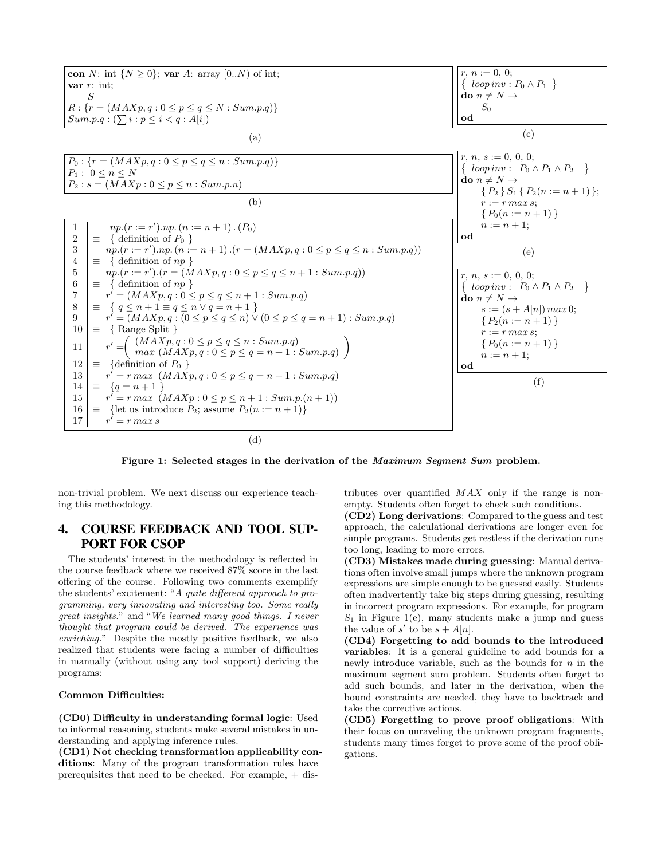

Figure 1: Selected stages in the derivation of the Maximum Segment Sum problem.

non-trivial problem. We next discuss our experience teaching this methodology.

# 4. COURSE FEEDBACK AND TOOL SUP-PORT FOR CSOP

The students' interest in the methodology is reflected in the course feedback where we received 87% score in the last offering of the course. Following two comments exemplify the students' excitement: "A quite different approach to programming, very innovating and interesting too. Some really great insights." and "We learned many good things. I never thought that program could be derived. The experience was enriching." Despite the mostly positive feedback, we also realized that students were facing a number of difficulties in manually (without using any tool support) deriving the programs:

#### Common Difficulties:

(CD0) Difficulty in understanding formal logic: Used to informal reasoning, students make several mistakes in understanding and applying inference rules.

(CD1) Not checking transformation applicability conditions: Many of the program transformation rules have prerequisites that need to be checked. For example, + distributes over quantified  $MAX$  only if the range is nonempty. Students often forget to check such conditions.

(CD2) Long derivations: Compared to the guess and test approach, the calculational derivations are longer even for simple programs. Students get restless if the derivation runs too long, leading to more errors.

(CD3) Mistakes made during guessing: Manual derivations often involve small jumps where the unknown program expressions are simple enough to be guessed easily. Students often inadvertently take big steps during guessing, resulting in incorrect program expressions. For example, for program  $S_1$  in Figure 1(e), many students make a jump and guess the value of s' to be  $s + A[n]$ .

(CD4) Forgetting to add bounds to the introduced variables: It is a general guideline to add bounds for a newly introduce variable, such as the bounds for  $n$  in the maximum segment sum problem. Students often forget to add such bounds, and later in the derivation, when the bound constraints are needed, they have to backtrack and take the corrective actions.

(CD5) Forgetting to prove proof obligations: With their focus on unraveling the unknown program fragments, students many times forget to prove some of the proof obligations.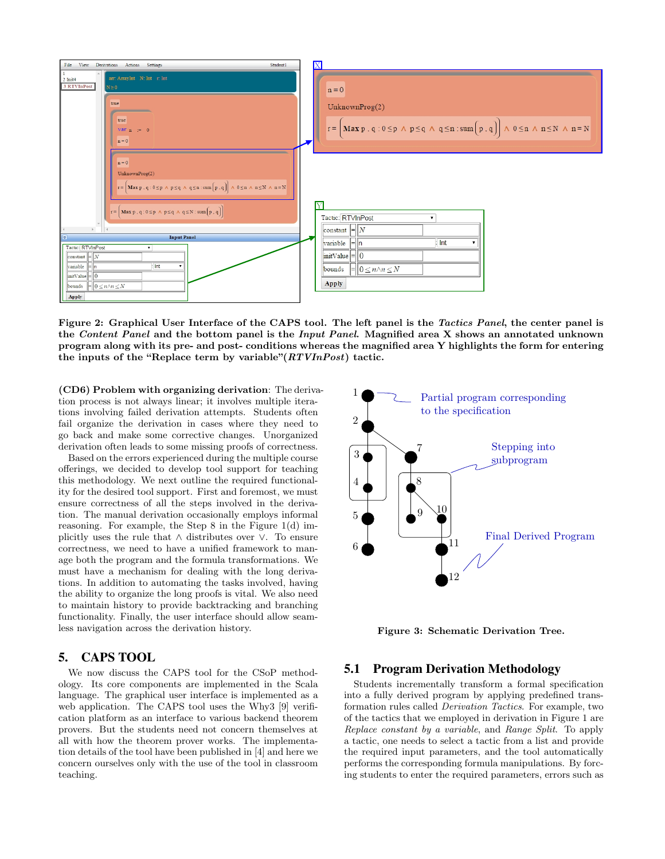

Figure 2: Graphical User Interface of the CAPS tool. The left panel is the Tactics Panel, the center panel is the Content Panel and the bottom panel is the Input Panel. Magnified area X shows an annotated unknown program along with its pre- and post- conditions whereas the magnified area Y highlights the form for entering the inputs of the "Replace term by variable" $(RTVInPost)$  tactic.

(CD6) Problem with organizing derivation: The derivation process is not always linear; it involves multiple iterations involving failed derivation attempts. Students often fail organize the derivation in cases where they need to go back and make some corrective changes. Unorganized derivation often leads to some missing proofs of correctness.

Based on the errors experienced during the multiple course offerings, we decided to develop tool support for teaching this methodology. We next outline the required functionality for the desired tool support. First and foremost, we must ensure correctness of all the steps involved in the derivation. The manual derivation occasionally employs informal reasoning. For example, the Step 8 in the Figure 1(d) implicitly uses the rule that ∧ distributes over ∨. To ensure correctness, we need to have a unified framework to manage both the program and the formula transformations. We must have a mechanism for dealing with the long derivations. In addition to automating the tasks involved, having the ability to organize the long proofs is vital. We also need to maintain history to provide backtracking and branching functionality. Finally, the user interface should allow seamless navigation across the derivation history.

# 5. CAPS TOOL

We now discuss the CAPS tool for the CSoP methodology. Its core components are implemented in the Scala language. The graphical user interface is implemented as a web application. The CAPS tool uses the Why3 [9] verification platform as an interface to various backend theorem provers. But the students need not concern themselves at all with how the theorem prover works. The implementation details of the tool have been published in [4] and here we concern ourselves only with the use of the tool in classroom teaching.



Figure 3: Schematic Derivation Tree.

#### 5.1 Program Derivation Methodology

Students incrementally transform a formal specification into a fully derived program by applying predefined transformation rules called Derivation Tactics. For example, two of the tactics that we employed in derivation in Figure 1 are Replace constant by a variable, and Range Split. To apply a tactic, one needs to select a tactic from a list and provide the required input parameters, and the tool automatically performs the corresponding formula manipulations. By forcing students to enter the required parameters, errors such as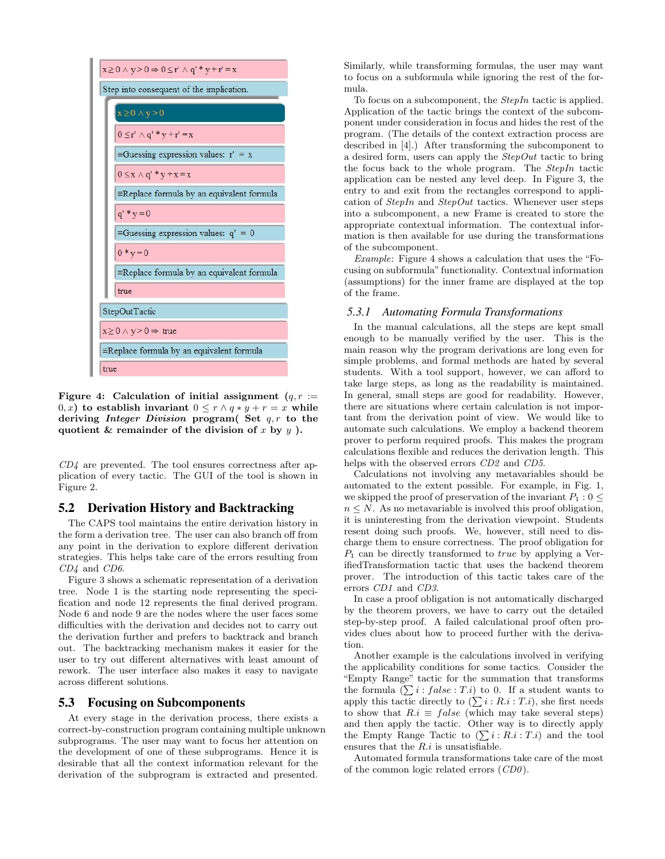

Figure 4: Calculation of initial assignment  $(q, r)$  := 0, x) to establish invariant  $0 \le r \wedge q * y + r = x$  while deriving *Integer Division* program( Set  $q, r$  to the quotient & remainder of the division of x by  $y$ ).

 $CD4$  are prevented. The tool ensures correctness after application of every tactic. The GUI of the tool is shown in Figure 2.

#### 5.2 Derivation History and Backtracking

The CAPS tool maintains the entire derivation history in the form a derivation tree. The user can also branch off from any point in the derivation to explore different derivation strategies. This helps take care of the errors resulting from CD4 and CD6.

Figure 3 shows a schematic representation of a derivation tree. Node 1 is the starting node representing the specification and node 12 represents the final derived program. Node 6 and node 9 are the nodes where the user faces some difficulties with the derivation and decides not to carry out the derivation further and prefers to backtrack and branch out. The backtracking mechanism makes it easier for the user to try out different alternatives with least amount of rework. The user interface also makes it easy to navigate across different solutions.

#### 5.3 Focusing on Subcomponents

At every stage in the derivation process, there exists a correct-by-construction program containing multiple unknown subprograms. The user may want to focus her attention on the development of one of these subprograms. Hence it is desirable that all the context information relevant for the derivation of the subprogram is extracted and presented.

Similarly, while transforming formulas, the user may want to focus on a subformula while ignoring the rest of the formula.

To focus on a subcomponent, the StepIn tactic is applied. Application of the tactic brings the context of the subcomponent under consideration in focus and hides the rest of the program. (The details of the context extraction process are described in [4].) After transforming the subcomponent to a desired form, users can apply the  $StepOut$  tactic to bring the focus back to the whole program. The StepIn tactic application can be nested any level deep. In Figure 3, the entry to and exit from the rectangles correspond to application of  $StepIn$  and  $StepOut$  tactics. Whenever user steps into a subcomponent, a new Frame is created to store the appropriate contextual information. The contextual information is then available for use during the transformations of the subcomponent.

Example: Figure 4 shows a calculation that uses the "Focusing on subformula" functionality. Contextual information (assumptions) for the inner frame are displayed at the top of the frame.

#### *5.3.1 Automating Formula Transformations*

In the manual calculations, all the steps are kept small enough to be manually verified by the user. This is the main reason why the program derivations are long even for simple problems, and formal methods are hated by several students. With a tool support, however, we can afford to take large steps, as long as the readability is maintained. In general, small steps are good for readability. However, there are situations where certain calculation is not important from the derivation point of view. We would like to automate such calculations. We employ a backend theorem prover to perform required proofs. This makes the program calculations flexible and reduces the derivation length. This helps with the observed errors CD2 and CD5.

Calculations not involving any metavariables should be automated to the extent possible. For example, in Fig. 1, we skipped the proof of preservation of the invariant  $P_1 : 0 \leq$  $n \leq N$ . As no metavariable is involved this proof obligation, it is uninteresting from the derivation viewpoint. Students resent doing such proofs. We, however, still need to discharge them to ensure correctness. The proof obligation for  $P_1$  can be directly transformed to *true* by applying a VerifiedTransformation tactic that uses the backend theorem prover. The introduction of this tactic takes care of the errors CD1 and CD3.

In case a proof obligation is not automatically discharged by the theorem provers, we have to carry out the detailed step-by-step proof. A failed calculational proof often provides clues about how to proceed further with the derivation.

Another example is the calculations involved in verifying the applicability conditions for some tactics. Consider the "Empty Range" tactic for the summation that transforms the formula  $(\sum i : false : T.i)$  to 0. If a student wants to apply this tactic directly to  $(\sum i : R.i : T.i)$ , she first needs to show that  $R.i \equiv false$  (which may take several steps) and then apply the tactic. Other way is to directly apply the Empty Range Tactic to  $(\sum i : R_i : T_i)$  and the tool ensures that the  $R.i$  is unsatisfiable.

Automated formula transformations take care of the most of the common logic related errors (CD0 ).